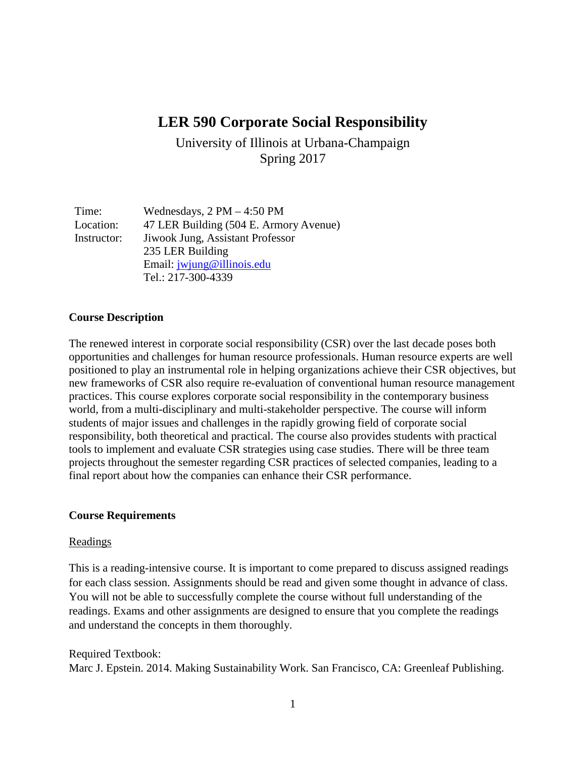# **LER 590 Corporate Social Responsibility**

University of Illinois at Urbana-Champaign Spring 2017

| Time:       | Wednesdays, $2 PM - 4:50 PM$           |
|-------------|----------------------------------------|
| Location:   | 47 LER Building (504 E. Armory Avenue) |
| Instructor: | Jiwook Jung, Assistant Professor       |
|             | 235 LER Building                       |
|             | Email: jwjung@illinois.edu             |
|             | Tel.: 217-300-4339                     |

#### **Course Description**

The renewed interest in corporate social responsibility (CSR) over the last decade poses both opportunities and challenges for human resource professionals. Human resource experts are well positioned to play an instrumental role in helping organizations achieve their CSR objectives, but new frameworks of CSR also require re-evaluation of conventional human resource management practices. This course explores corporate social responsibility in the contemporary business world, from a multi-disciplinary and multi-stakeholder perspective. The course will inform students of major issues and challenges in the rapidly growing field of corporate social responsibility, both theoretical and practical. The course also provides students with practical tools to implement and evaluate CSR strategies using case studies. There will be three team projects throughout the semester regarding CSR practices of selected companies, leading to a final report about how the companies can enhance their CSR performance.

#### **Course Requirements**

#### **Readings**

This is a reading-intensive course. It is important to come prepared to discuss assigned readings for each class session. Assignments should be read and given some thought in advance of class. You will not be able to successfully complete the course without full understanding of the readings. Exams and other assignments are designed to ensure that you complete the readings and understand the concepts in them thoroughly.

#### Required Textbook:

Marc J. Epstein. 2014. Making Sustainability Work. San Francisco, CA: Greenleaf Publishing.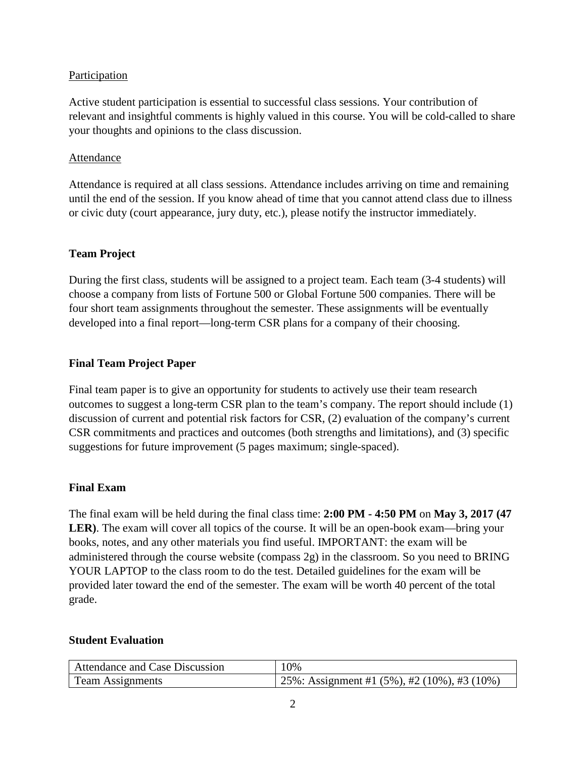# Participation

Active student participation is essential to successful class sessions. Your contribution of relevant and insightful comments is highly valued in this course. You will be cold-called to share your thoughts and opinions to the class discussion.

### Attendance

Attendance is required at all class sessions. Attendance includes arriving on time and remaining until the end of the session. If you know ahead of time that you cannot attend class due to illness or civic duty (court appearance, jury duty, etc.), please notify the instructor immediately.

### **Team Project**

During the first class, students will be assigned to a project team. Each team (3-4 students) will choose a company from lists of Fortune 500 or Global Fortune 500 companies. There will be four short team assignments throughout the semester. These assignments will be eventually developed into a final report—long-term CSR plans for a company of their choosing.

# **Final Team Project Paper**

Final team paper is to give an opportunity for students to actively use their team research outcomes to suggest a long-term CSR plan to the team's company. The report should include (1) discussion of current and potential risk factors for CSR, (2) evaluation of the company's current CSR commitments and practices and outcomes (both strengths and limitations), and (3) specific suggestions for future improvement (5 pages maximum; single-spaced).

#### **Final Exam**

The final exam will be held during the final class time: **2:00 PM - 4:50 PM** on **May 3, 2017 (47**  LER). The exam will cover all topics of the course. It will be an open-book exam—bring your books, notes, and any other materials you find useful. IMPORTANT: the exam will be administered through the course website (compass 2g) in the classroom. So you need to BRING YOUR LAPTOP to the class room to do the test. Detailed guidelines for the exam will be provided later toward the end of the semester. The exam will be worth 40 percent of the total grade.

#### **Student Evaluation**

| Attendance and Case Discussion | 10%                                                    |
|--------------------------------|--------------------------------------------------------|
| <b>Team Assignments</b>        | 25%: Assignment #1 $(5\%)$ , #2 $(10\%)$ , #3 $(10\%)$ |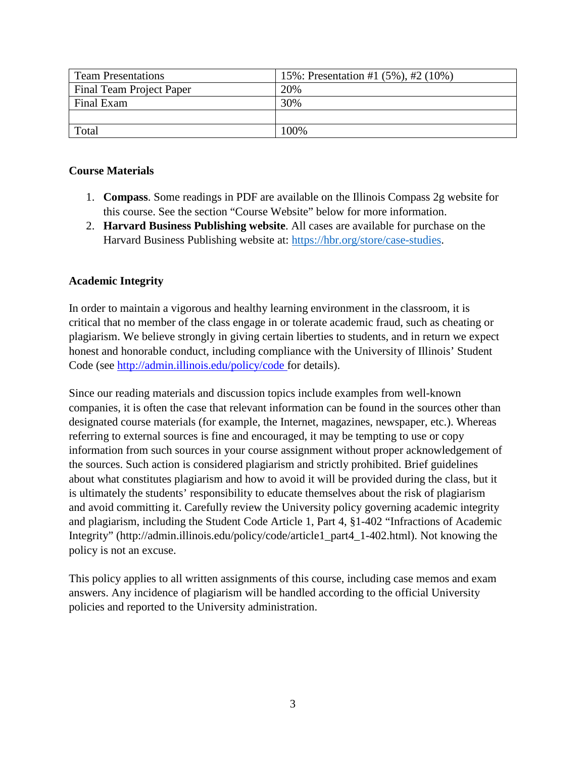| <b>Team Presentations</b> | 15%: Presentation #1 (5%), #2 (10%) |
|---------------------------|-------------------------------------|
| Final Team Project Paper  | 20%                                 |
| Final Exam                | 30%                                 |
|                           |                                     |
| Total                     | 100%                                |

### **Course Materials**

- 1. **Compass**. Some readings in PDF are available on the Illinois Compass 2g website for this course. See the section "Course Website" below for more information.
- 2. **Harvard Business Publishing website**. All cases are available for purchase on the Harvard Business Publishing website at: [https://hbr.org/store/case-studies.](https://hbr.org/store/case-studies)

### **Academic Integrity**

In order to maintain a vigorous and healthy learning environment in the classroom, it is critical that no member of the class engage in or tolerate academic fraud, such as cheating or plagiarism. We believe strongly in giving certain liberties to students, and in return we expect honest and honorable conduct, including compliance with the University of Illinois' Student Code (see [http://admin.illinois.edu/policy/code f](http://admin.illinois.edu/policy/code)or details).

Since our reading materials and discussion topics include examples from well-known companies, it is often the case that relevant information can be found in the sources other than designated course materials (for example, the Internet, magazines, newspaper, etc.). Whereas referring to external sources is fine and encouraged, it may be tempting to use or copy information from such sources in your course assignment without proper acknowledgement of the sources. Such action is considered plagiarism and strictly prohibited. Brief guidelines about what constitutes plagiarism and how to avoid it will be provided during the class, but it is ultimately the students' responsibility to educate themselves about the risk of plagiarism and avoid committing it. Carefully review the University policy governing academic integrity and plagiarism, including the Student Code Article 1, Part 4, §1-402 "Infractions of Academic Integrity" (http://admin.illinois.edu/policy/code/article1\_part4\_1-402.html). Not knowing the policy is not an excuse.

This policy applies to all written assignments of this course, including case memos and exam answers. Any incidence of plagiarism will be handled according to the official University policies and reported to the University administration.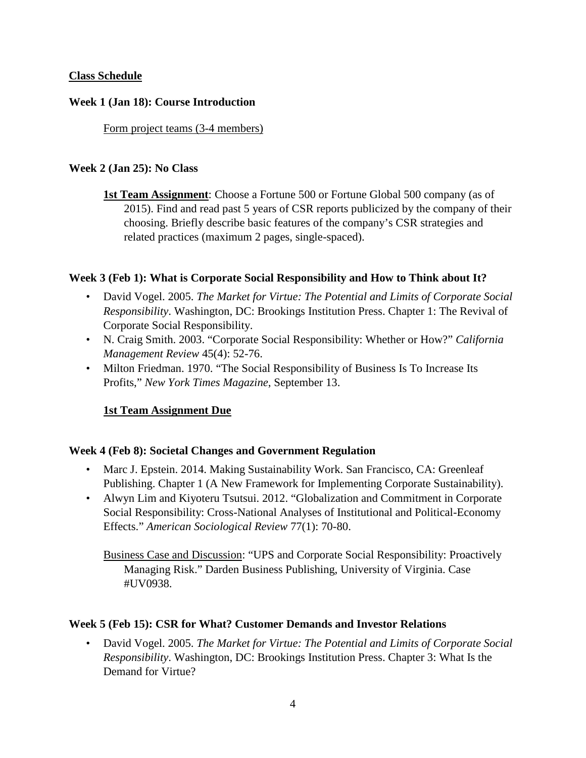# **Class Schedule**

#### **Week 1 (Jan 18): Course Introduction**

Form project teams (3-4 members)

#### **Week 2 (Jan 25): No Class**

**1st Team Assignment**: Choose a Fortune 500 or Fortune Global 500 company (as of 2015). Find and read past 5 years of CSR reports publicized by the company of their choosing. Briefly describe basic features of the company's CSR strategies and related practices (maximum 2 pages, single-spaced).

#### **Week 3 (Feb 1): What is Corporate Social Responsibility and How to Think about It?**

- David Vogel. 2005. *The Market for Virtue: The Potential and Limits of Corporate Social Responsibility*. Washington, DC: Brookings Institution Press. Chapter 1: The Revival of Corporate Social Responsibility.
- N. Craig Smith. 2003. "Corporate Social Responsibility: Whether or How?" *California Management Review* 45(4): 52-76.
- Milton Friedman. 1970. "The Social Responsibility of Business Is To Increase Its Profits," *New York Times Magazine*, September 13.

#### **1st Team Assignment Due**

#### **Week 4 (Feb 8): Societal Changes and Government Regulation**

- Marc J. Epstein. 2014. Making Sustainability Work. San Francisco, CA: Greenleaf Publishing. Chapter 1 (A New Framework for Implementing Corporate Sustainability).
- Alwyn Lim and Kiyoteru Tsutsui. 2012. "Globalization and Commitment in Corporate Social Responsibility: Cross-National Analyses of Institutional and Political-Economy Effects." *American Sociological Review* 77(1): 70-80.

Business Case and Discussion: "UPS and Corporate Social Responsibility: Proactively Managing Risk." Darden Business Publishing, University of Virginia. Case #UV0938.

#### **Week 5 (Feb 15): CSR for What? Customer Demands and Investor Relations**

• David Vogel. 2005. *The Market for Virtue: The Potential and Limits of Corporate Social Responsibility*. Washington, DC: Brookings Institution Press. Chapter 3: What Is the Demand for Virtue?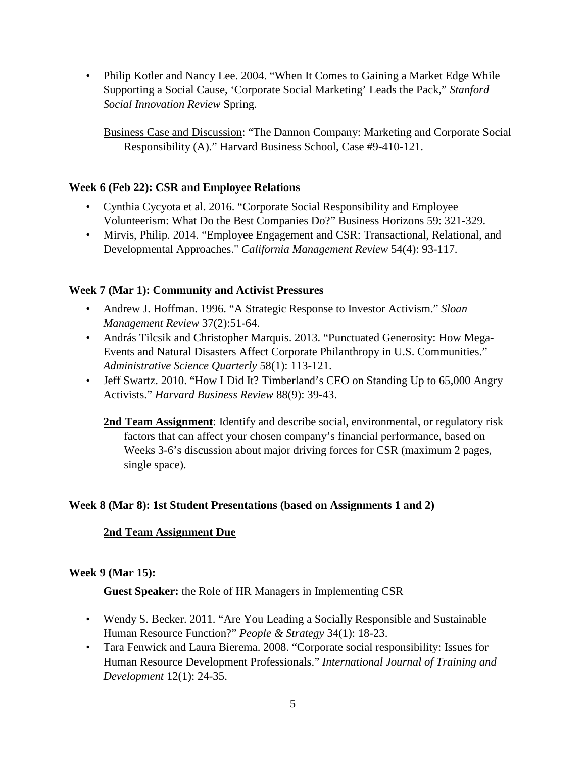• Philip Kotler and Nancy Lee. 2004. "When It Comes to Gaining a Market Edge While Supporting a Social Cause, 'Corporate Social Marketing' Leads the Pack," *Stanford Social Innovation Review* Spring.

Business Case and Discussion: "The Dannon Company: Marketing and Corporate Social Responsibility (A)." Harvard Business School, Case #9-410-121.

# **Week 6 (Feb 22): CSR and Employee Relations**

- Cynthia Cycyota et al. 2016. "Corporate Social Responsibility and Employee Volunteerism: What Do the Best Companies Do?" Business Horizons 59: 321-329.
- Mirvis, Philip. 2014. "Employee Engagement and CSR: Transactional, Relational, and Developmental Approaches." *California Management Review* 54(4): 93-117.

# **Week 7 (Mar 1): Community and Activist Pressures**

- Andrew J. Hoffman. 1996. "A Strategic Response to Investor Activism." *Sloan Management Review* 37(2):51-64.
- András Tilcsik and Christopher Marquis. 2013. "Punctuated Generosity: How Mega-Events and Natural Disasters Affect Corporate Philanthropy in U.S. Communities." *Administrative Science Quarterly* 58(1): 113-121.
- Jeff Swartz. 2010. "How I Did It? Timberland's CEO on Standing Up to 65,000 Angry Activists." *Harvard Business Review* 88(9): 39-43.

**2nd Team Assignment**: Identify and describe social, environmental, or regulatory risk factors that can affect your chosen company's financial performance, based on Weeks 3-6's discussion about major driving forces for CSR (maximum 2 pages, single space).

# **Week 8 (Mar 8): 1st Student Presentations (based on Assignments 1 and 2)**

# **2nd Team Assignment Due**

# **Week 9 (Mar 15):**

**Guest Speaker:** the Role of HR Managers in Implementing CSR

- Wendy S. Becker. 2011. "Are You Leading a Socially Responsible and Sustainable Human Resource Function?" *People & Strategy* 34(1): 18-23.
- Tara Fenwick and Laura Bierema. 2008. "Corporate social responsibility: Issues for Human Resource Development Professionals." *International Journal of Training and Development* 12(1): 24-35.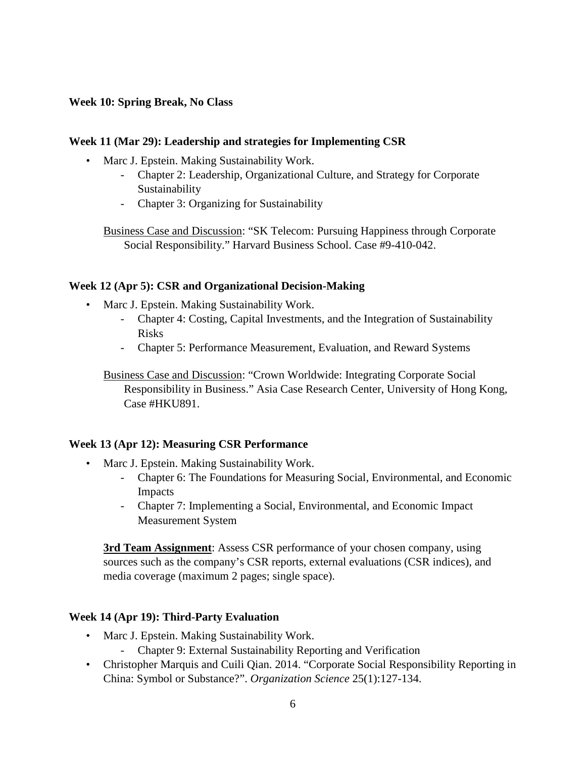# **Week 10: Spring Break, No Class**

#### **Week 11 (Mar 29): Leadership and strategies for Implementing CSR**

- Marc J. Epstein. Making Sustainability Work.
	- Chapter 2: Leadership, Organizational Culture, and Strategy for Corporate Sustainability
	- Chapter 3: Organizing for Sustainability

Business Case and Discussion: "SK Telecom: Pursuing Happiness through Corporate Social Responsibility." Harvard Business School. Case #9-410-042.

#### **Week 12 (Apr 5): CSR and Organizational Decision-Making**

- Marc J. Epstein. Making Sustainability Work.
	- Chapter 4: Costing, Capital Investments, and the Integration of Sustainability Risks
	- Chapter 5: Performance Measurement, Evaluation, and Reward Systems

Business Case and Discussion: "Crown Worldwide: Integrating Corporate Social Responsibility in Business." Asia Case Research Center, University of Hong Kong, Case #HKU891.

#### **Week 13 (Apr 12): Measuring CSR Performance**

- Marc J. Epstein. Making Sustainability Work.
	- Chapter 6: The Foundations for Measuring Social, Environmental, and Economic Impacts
	- Chapter 7: Implementing a Social, Environmental, and Economic Impact Measurement System

**3rd Team Assignment**: Assess CSR performance of your chosen company, using sources such as the company's CSR reports, external evaluations (CSR indices), and media coverage (maximum 2 pages; single space).

# **Week 14 (Apr 19): Third-Party Evaluation**

- Marc J. Epstein. Making Sustainability Work.
	- Chapter 9: External Sustainability Reporting and Verification
- Christopher Marquis and Cuili Qian. 2014. "Corporate Social Responsibility Reporting in China: Symbol or Substance?". *Organization Science* 25(1):127-134.